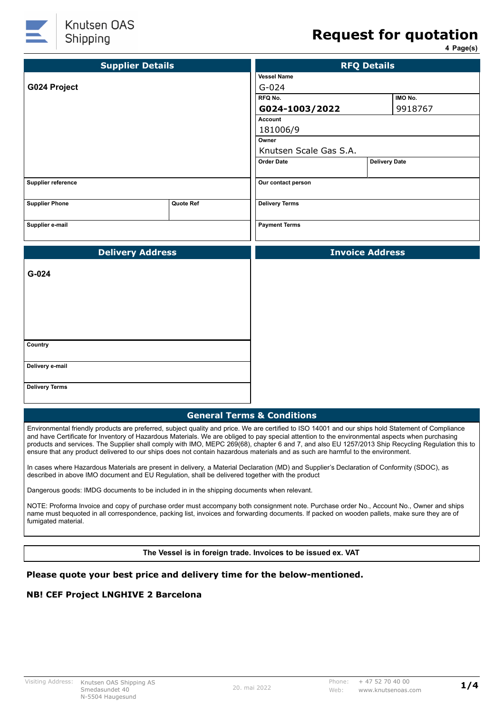

# **Request for quotation**

**4 Page(s)**

| <b>Supplier Details</b> |           | <b>RFQ Details</b>     |                      |         |
|-------------------------|-----------|------------------------|----------------------|---------|
|                         |           | <b>Vessel Name</b>     |                      |         |
| G024 Project            |           | $G - 024$              |                      |         |
|                         |           | IMO No.<br>RFQ No.     |                      |         |
|                         |           | G024-1003/2022         |                      | 9918767 |
|                         |           | <b>Account</b>         |                      |         |
|                         |           | 181006/9               |                      |         |
|                         |           | Owner                  |                      |         |
|                         |           | Knutsen Scale Gas S.A. |                      |         |
|                         |           | <b>Order Date</b>      | <b>Delivery Date</b> |         |
| Supplier reference      |           | Our contact person     |                      |         |
| <b>Supplier Phone</b>   | Quote Ref | <b>Delivery Terms</b>  |                      |         |
| Supplier e-mail         |           | <b>Payment Terms</b>   |                      |         |
|                         |           |                        |                      |         |
| <b>Delivery Address</b> |           | <b>Invoice Address</b> |                      |         |
| G-024                   |           |                        |                      |         |
|                         |           |                        |                      |         |
| Country                 |           |                        |                      |         |
| Delivery e-mail         |           |                        |                      |         |
| <b>Delivery Terms</b>   |           |                        |                      |         |

Environmental friendly products are preferred, subject quality and price. We are certified to ISO 14001 and our ships hold Statement of Compliance and have Certificate for Inventory of Hazardous Materials. We are obliged to pay special attention to the environmental aspects when purchasing products and services. The Supplier shall comply with IMO, MEPC 269(68), chapter 6 and 7, and also EU 1257/2013 Ship Recycling Regulation this to ensure that any product delivered to our ships does not contain hazardous materials and as such are harmful to the environment.

In cases where Hazardous Materials are present in delivery, a Material Declaration (MD) and Supplier's Declaration of Conformity (SDOC), as described in above IMO document and EU Regulation, shall be delivered together with the product

Dangerous goods: IMDG documents to be included in in the shipping documents when relevant.

NOTE: Proforma Invoice and copy of purchase order must accompany both consignment note. Purchase order No., Account No., Owner and ships name must bequoted in all correspondence, packing list, invoices and forwarding documents. If packed on wooden pallets, make sure they are of fumigated material.

**The Vessel is in foreign trade. Invoices to be issued ex. VAT**

### **Please quote your best price and delivery time for the below-mentioned.**

### **NB! CEF Project LNGHIVE 2 Barcelona**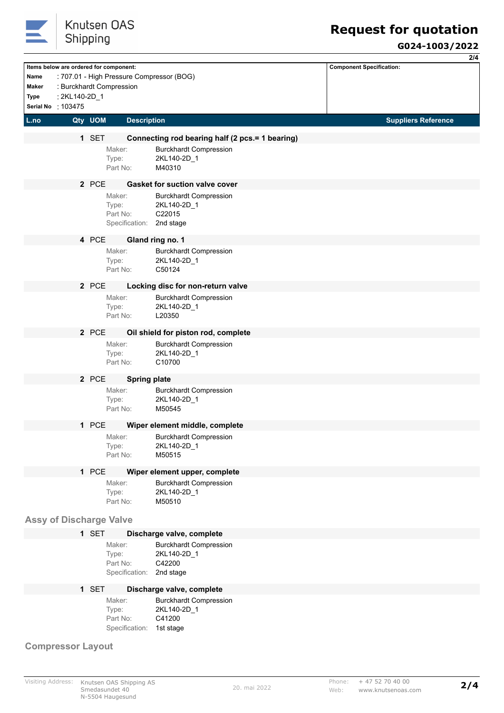

## **G024-1003/2022**

|                          |                                |         |                                        |                                                                 | 2/4                             |
|--------------------------|--------------------------------|---------|----------------------------------------|-----------------------------------------------------------------|---------------------------------|
|                          |                                |         | Items below are ordered for component: |                                                                 | <b>Component Specification:</b> |
| Name<br>Maker            |                                |         |                                        | : 707.01 - High Pressure Compressor (BOG)                       |                                 |
| Type                     | : 2KL140-2D_1                  |         | : Burckhardt Compression               |                                                                 |                                 |
|                          | Serial No : 103475             |         |                                        |                                                                 |                                 |
| L.no                     |                                | Qty UOM | <b>Description</b>                     |                                                                 | <b>Suppliers Reference</b>      |
|                          |                                |         |                                        |                                                                 |                                 |
|                          |                                | 1 SET   |                                        | Connecting rod bearing half (2 pcs.= 1 bearing)                 |                                 |
|                          |                                |         | Maker:<br>Type:                        | <b>Burckhardt Compression</b><br>2KL140-2D_1                    |                                 |
|                          |                                |         | Part No:                               | M40310                                                          |                                 |
|                          |                                |         |                                        |                                                                 |                                 |
|                          |                                | 2 PCE   |                                        | <b>Gasket for suction valve cover</b>                           |                                 |
|                          |                                |         | Maker:<br>Type:                        | <b>Burckhardt Compression</b><br>2KL140-2D 1                    |                                 |
|                          |                                |         | Part No:                               | C22015                                                          |                                 |
|                          |                                |         | Specification: 2nd stage               |                                                                 |                                 |
|                          |                                | 4 PCE   |                                        | Gland ring no. 1                                                |                                 |
|                          |                                |         | Maker:                                 | <b>Burckhardt Compression</b>                                   |                                 |
|                          |                                |         | Type:                                  | 2KL140-2D_1                                                     |                                 |
|                          |                                |         | Part No:                               | C50124                                                          |                                 |
|                          |                                | 2 PCE   |                                        | Locking disc for non-return valve                               |                                 |
|                          |                                |         | Maker:                                 | <b>Burckhardt Compression</b>                                   |                                 |
|                          |                                |         | Type:<br>Part No:                      | 2KL140-2D_1<br>L20350                                           |                                 |
|                          |                                |         |                                        |                                                                 |                                 |
|                          |                                | 2 PCE   |                                        | Oil shield for piston rod, complete                             |                                 |
|                          |                                |         | Maker:                                 | <b>Burckhardt Compression</b>                                   |                                 |
|                          |                                |         | Type:<br>Part No:                      | 2KL140-2D_1<br>C10700                                           |                                 |
|                          |                                |         |                                        |                                                                 |                                 |
|                          |                                | 2 PCE   |                                        | <b>Spring plate</b>                                             |                                 |
|                          |                                |         | Maker:<br>Type:                        | <b>Burckhardt Compression</b><br>2KL140-2D_1                    |                                 |
|                          |                                |         | Part No:                               | M50545                                                          |                                 |
|                          |                                | 1 PCE   |                                        |                                                                 |                                 |
|                          |                                |         |                                        | Wiper element middle, complete<br><b>Burckhardt Compression</b> |                                 |
|                          |                                |         | Maker:<br>Type:                        | 2KL140-2D_1                                                     |                                 |
|                          |                                |         | Part No:                               | M50515                                                          |                                 |
|                          |                                | 1 PCE   |                                        | Wiper element upper, complete                                   |                                 |
|                          |                                |         | Maker:                                 | <b>Burckhardt Compression</b>                                   |                                 |
|                          |                                |         | Type:                                  | 2KL140-2D_1                                                     |                                 |
|                          |                                |         | Part No:                               | M50510                                                          |                                 |
|                          | <b>Assy of Discharge Valve</b> |         |                                        |                                                                 |                                 |
|                          |                                | 1 SET   |                                        |                                                                 |                                 |
|                          |                                |         | Maker:                                 | Discharge valve, complete<br><b>Burckhardt Compression</b>      |                                 |
|                          |                                |         | Type:                                  | 2KL140-2D_1                                                     |                                 |
|                          |                                |         | Part No:                               | C42200                                                          |                                 |
|                          |                                |         | Specification:                         | 2nd stage                                                       |                                 |
|                          |                                | 1 SET   |                                        | Discharge valve, complete                                       |                                 |
|                          |                                |         | Maker:                                 | <b>Burckhardt Compression</b>                                   |                                 |
|                          |                                |         | Type:                                  | 2KL140-2D_1                                                     |                                 |
|                          |                                |         | Part No:<br>Specification:             | C41200<br>1st stage                                             |                                 |
|                          |                                |         |                                        |                                                                 |                                 |
| <b>Compressor Layout</b> |                                |         |                                        |                                                                 |                                 |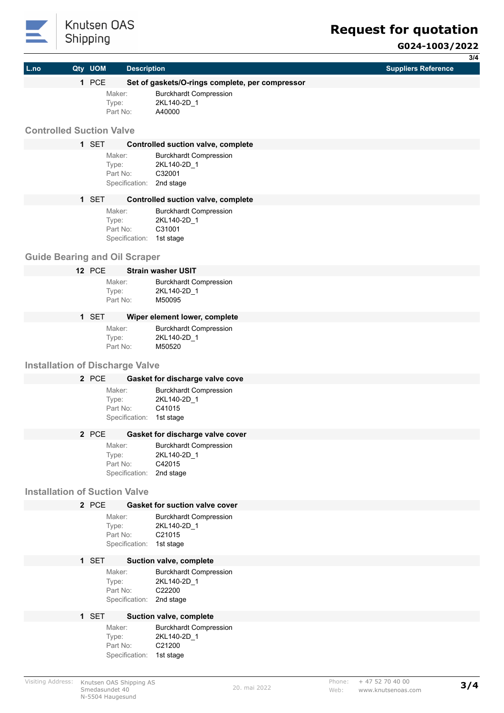

## **Request for quotation**

|                                        | Juppung       |                    |                                                 | G024-1003/2022             |
|----------------------------------------|---------------|--------------------|-------------------------------------------------|----------------------------|
|                                        |               |                    |                                                 | 3/4                        |
| L.no                                   | Qty UOM       | <b>Description</b> |                                                 | <b>Suppliers Reference</b> |
|                                        | 1 PCE         |                    | Set of gaskets/O-rings complete, per compressor |                            |
|                                        |               | Maker:<br>Type:    | <b>Burckhardt Compression</b><br>2KL140-2D_1    |                            |
|                                        |               | Part No:           | A40000                                          |                            |
| <b>Controlled Suction Valve</b>        |               |                    |                                                 |                            |
|                                        | 1 SET         |                    | <b>Controlled suction valve, complete</b>       |                            |
|                                        |               | Maker:             | <b>Burckhardt Compression</b>                   |                            |
|                                        |               | Type:              | 2KL140-2D_1                                     |                            |
|                                        |               | Part No:           | C32001                                          |                            |
|                                        |               | Specification:     | 2nd stage                                       |                            |
|                                        | 1 SET         |                    | <b>Controlled suction valve, complete</b>       |                            |
|                                        |               | Maker:<br>Type:    | <b>Burckhardt Compression</b><br>2KL140-2D 1    |                            |
|                                        |               | Part No:           | C31001                                          |                            |
|                                        |               | Specification:     | 1st stage                                       |                            |
| <b>Guide Bearing and Oil Scraper</b>   |               |                    |                                                 |                            |
|                                        | <b>12 PCE</b> |                    | <b>Strain washer USIT</b>                       |                            |
|                                        |               | Maker:             | <b>Burckhardt Compression</b>                   |                            |
|                                        |               | Type:<br>Part No:  | 2KL140-2D 1<br>M50095                           |                            |
|                                        |               |                    |                                                 |                            |
|                                        | 1 SET         |                    | Wiper element lower, complete                   |                            |
|                                        |               | Maker:<br>Type:    | <b>Burckhardt Compression</b><br>2KL140-2D_1    |                            |
|                                        |               | Part No:           | M50520                                          |                            |
| <b>Installation of Discharge Valve</b> |               |                    |                                                 |                            |
|                                        | 2 PCE         |                    | Gasket for discharge valve cove                 |                            |
|                                        |               | Maker:             | <b>Burckhardt Compression</b>                   |                            |
|                                        |               | Type:              | 2KL140-2D_1                                     |                            |
|                                        |               | Part No:           | C41015                                          |                            |
|                                        |               | Specification:     | 1st stage                                       |                            |
|                                        | 2 PCE         |                    | Gasket for discharge valve cover                |                            |
|                                        |               | Maker:<br>Type:    | <b>Burckhardt Compression</b><br>2KL140-2D_1    |                            |
|                                        |               | Part No:           | C42015                                          |                            |
|                                        |               | Specification:     | 2nd stage                                       |                            |
| <b>Installation of Suction Valve</b>   |               |                    |                                                 |                            |
|                                        | 2 PCE         |                    | <b>Gasket for suction valve cover</b>           |                            |
|                                        |               | Maker:             | <b>Burckhardt Compression</b>                   |                            |
|                                        |               | Type:<br>Part No:  | 2KL140-2D_1<br>C21015                           |                            |
|                                        |               | Specification:     | 1st stage                                       |                            |
|                                        | 1 SET         |                    | Suction valve, complete                         |                            |
|                                        |               | Maker:             | <b>Burckhardt Compression</b>                   |                            |
|                                        |               | Type:              | 2KL140-2D_1                                     |                            |
|                                        |               | Part No:           | C22200                                          |                            |
|                                        |               | Specification:     | 2nd stage                                       |                            |
|                                        | 1 SET         |                    | Suction valve, complete                         |                            |
|                                        |               | Maker:<br>Type:    | <b>Burckhardt Compression</b><br>2KL140-2D_1    |                            |
|                                        |               | Part No:           | C21200                                          |                            |

Specification: 1st stage